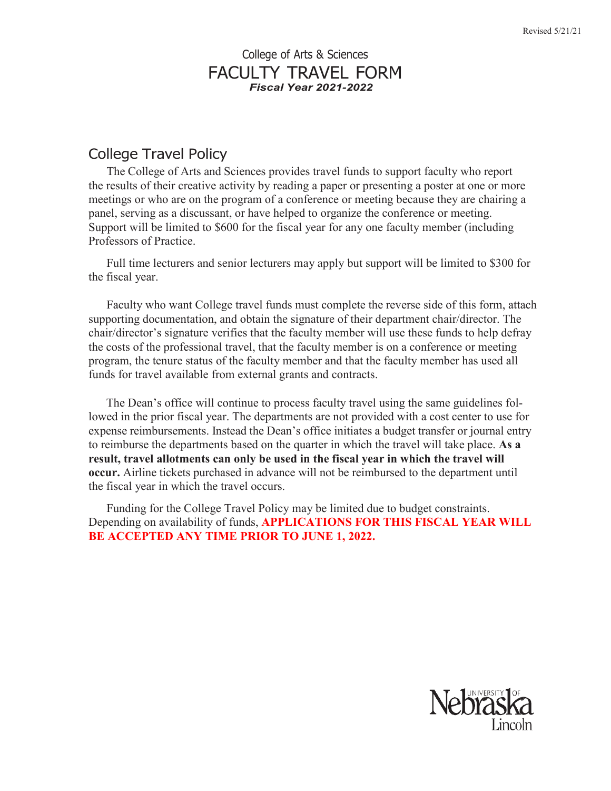## College of Arts & Sciences FACULTY TRAVEL FORM *Fiscal Year 2021-2022*

## College Travel Policy

The College of Arts and Sciences provides travel funds to support faculty who report the results of their creative activity by reading a paper or presenting a poster at one or more meetings or who are on the program of a conference or meeting because they are chairing a panel, serving as a discussant, or have helped to organize the conference or meeting. Support will be limited to \$600 for the fiscal year for any one faculty member (including Professors of Practice.

Full time lecturers and senior lecturers may apply but support will be limited to \$300 for the fiscal year.

Faculty who want College travel funds must complete the reverse side of this form, attach supporting documentation, and obtain the signature of their department chair/director. The chair/director's signature verifies that the faculty member will use these funds to help defray the costs of the professional travel, that the faculty member is on a conference or meeting program, the tenure status of the faculty member and that the faculty member has used all funds for travel available from external grants and contracts.

The Dean's office will continue to process faculty travel using the same guidelines followed in the prior fiscal year. The departments are not provided with a cost center to use for expense reimbursements. Instead the Dean's office initiates a budget transfer or journal entry to reimburse the departments based on the quarter in which the travel will take place. **As a result, travel allotments can only be used in the fiscal year in which the travel will occur.** Airline tickets purchased in advance will not be reimbursed to the department until the fiscal year in which the travel occurs.

Funding for the College Travel Policy may be limited due to budget constraints. Depending on availability of funds, **APPLICATIONS FOR THIS FISCAL YEAR WILL BE ACCEPTED ANY TIME PRIOR TO JUNE 1, 2022.**